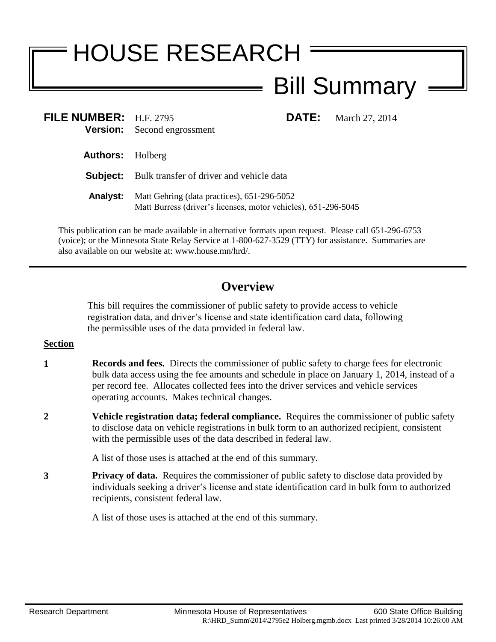# HOUSE RESEARCH Bill Summary

| FILE NUMBER: H.F. 2795  | <b>Version:</b> Second engrossment                                                                            |  | <b>DATE:</b> March 27, 2014 |
|-------------------------|---------------------------------------------------------------------------------------------------------------|--|-----------------------------|
| <b>Authors:</b> Holberg |                                                                                                               |  |                             |
|                         | <b>Subject:</b> Bulk transfer of driver and vehicle data                                                      |  |                             |
| <b>Analyst:</b>         | Matt Gehring (data practices), 651-296-5052<br>Matt Burress (driver's licenses, motor vehicles), 651-296-5045 |  |                             |

This publication can be made available in alternative formats upon request. Please call 651-296-6753 (voice); or the Minnesota State Relay Service at 1-800-627-3529 (TTY) for assistance. Summaries are also available on our website at: www.house.mn/hrd/.

# **Overview**

This bill requires the commissioner of public safety to provide access to vehicle registration data, and driver's license and state identification card data, following the permissible uses of the data provided in federal law.

## **Section**

- **1 Records and fees.** Directs the commissioner of public safety to charge fees for electronic bulk data access using the fee amounts and schedule in place on January 1, 2014, instead of a per record fee. Allocates collected fees into the driver services and vehicle services operating accounts. Makes technical changes.
- **2 Vehicle registration data; federal compliance.** Requires the commissioner of public safety to disclose data on vehicle registrations in bulk form to an authorized recipient, consistent with the permissible uses of the data described in federal law.

A list of those uses is attached at the end of this summary.

**3 Privacy of data.** Requires the commissioner of public safety to disclose data provided by individuals seeking a driver's license and state identification card in bulk form to authorized recipients, consistent federal law.

A list of those uses is attached at the end of this summary.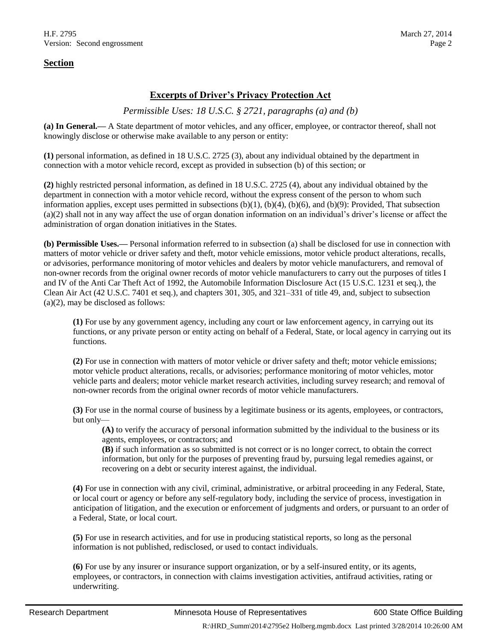#### **Section**

#### **Excerpts of Driver's Privacy Protection Act**

#### *Permissible Uses: 18 U.S.C. § 2721, paragraphs (a) and (b)*

**(a) In General.—** A State department of motor vehicles, and any officer, employee, or contractor thereof, shall not knowingly disclose or otherwise make available to any person or entity:

**(1)** personal information, as defined in 18 U.S.C. 2725 (3), about any individual obtained by the department in connection with a motor vehicle record, except as provided in subsection (b) of this section; or

**(2)** highly restricted personal information, as defined in 18 U.S.C. 2725 (4), about any individual obtained by the department in connection with a motor vehicle record, without the express consent of the person to whom such information applies, except uses permitted in subsections (b)(1), (b)(4), (b)(6), and (b)(9): Provided, That subsection (a)(2) shall not in any way affect the use of organ donation information on an individual's driver's license or affect the administration of organ donation initiatives in the States.

**(b) Permissible Uses.—** Personal information referred to in subsection (a) shall be disclosed for use in connection with matters of motor vehicle or driver safety and theft, motor vehicle emissions, motor vehicle product alterations, recalls, or advisories, performance monitoring of motor vehicles and dealers by motor vehicle manufacturers, and removal of non-owner records from the original owner records of motor vehicle manufacturers to carry out the purposes of titles I and IV of the Anti Car Theft Act of 1992, the Automobile Information Disclosure Act (15 U.S.C. 1231 et seq.), the Clean Air Act (42 U.S.C. 7401 et seq.), and chapters 301, 305, and 321–331 of title [49,](http://www.law.cornell.edu/uscode/text/49) and, subject to subsection (a)(2), may be disclosed as follows:

**(1)** For use by any government agency, including any court or law enforcement agency, in carrying out its functions, or any private person or entity acting on behalf of a Federal, State, or local agency in carrying out its functions.

**(2)** For use in connection with matters of motor vehicle or driver safety and theft; motor vehicle emissions; motor vehicle product alterations, recalls, or advisories; performance monitoring of motor vehicles, motor vehicle parts and dealers; motor vehicle market research activities, including survey research; and removal of non-owner records from the original owner records of motor vehicle manufacturers.

**(3)** For use in the normal course of business by a legitimate business or its agents, employees, or contractors, but only—

**(A)** to verify the accuracy of personal information submitted by the individual to the business or its agents, employees, or contractors; and

**(B)** if such information as so submitted is not correct or is no longer correct, to obtain the correct information, but only for the purposes of preventing fraud by, pursuing legal remedies against, or recovering on a debt or security interest against, the individual.

**(4)** For use in connection with any civil, criminal, administrative, or arbitral proceeding in any Federal, State, or local court or agency or before any self-regulatory body, including the service of process, investigation in anticipation of litigation, and the execution or enforcement of judgments and orders, or pursuant to an order of a Federal, State, or local court.

**(5)** For use in research activities, and for use in producing statistical reports, so long as the personal information is not published, redisclosed, or used to contact individuals.

**(6)** For use by any insurer or insurance support organization, or by a self-insured entity, or its agents, employees, or contractors, in connection with claims investigation activities, antifraud activities, rating or underwriting.